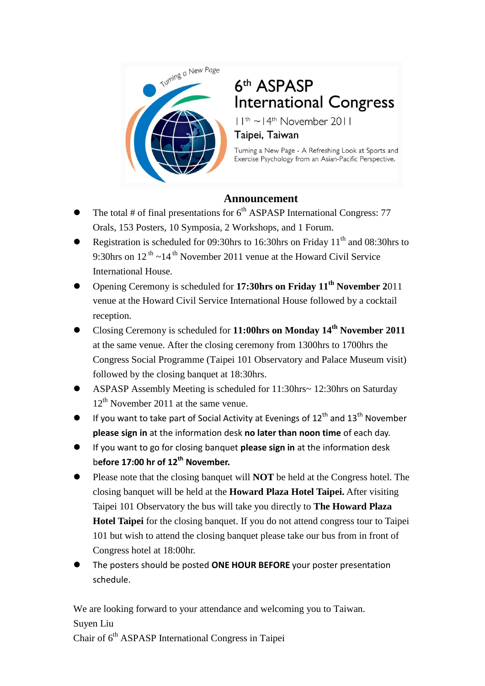

# 6th ASPASP **International Congress**

 $11^{th}$  ~  $14^{th}$  November 2011

#### Taipei, Taiwan

Turning a New Page - A Refreshing Look at Sports and Exercise Psychology from an Asian-Pacific Perspective.

## **Announcement**

- The total # of final presentations for  $6<sup>th</sup>$  ASPASP International Congress: 77 Orals, 153 Posters, 10 Symposia, 2 Workshops, and 1 Forum.
- Registration is scheduled for 09:30hrs to 16:30hrs on Friday  $11<sup>th</sup>$  and 08:30hrs to 9:30hrs on  $12^{th}$  ~ $14^{th}$  November 2011 venue at the Howard Civil Service International House.
- Opening Ceremony is scheduled for **17:30hrs on Friday 11th November 2**011 venue at the Howard Civil Service International House followed by a cocktail reception.
- Closing Ceremony is scheduled for **11:00hrs on Monday 14th November 2011** at the same venue. After the closing ceremony from 1300hrs to 1700hrs the Congress Social Programme (Taipei 101 Observatory and Palace Museum visit) followed by the closing banquet at 18:30hrs.
- ASPASP Assembly Meeting is scheduled for 11:30hrs~ 12:30hrs on Saturday  $12<sup>th</sup>$  November 2011 at the same venue.
- If you want to take part of Social Activity at Evenings of  $12<sup>th</sup>$  and  $13<sup>th</sup>$  November **please sign in** at the information desk **no later than noon time** of each day.
- If you want to go for closing banquet **please sign in** at the information desk b**efore 17:00 hr of 12th November.**
- Please note that the closing banquet will **NOT** be held at the Congress hotel. The closing banquet will be held at the **Howard Plaza Hotel Taipei.** After visiting Taipei 101 Observatory the bus will take you directly to **The Howard Plaza Hotel Taipei** for the closing banquet. If you do not attend congress tour to Taipei 101 but wish to attend the closing banquet please take our bus from in front of Congress hotel at 18:00hr.
- The posters should be posted **ONE HOUR BEFORE** your poster presentation schedule.

We are looking forward to your attendance and welcoming you to Taiwan. Suyen Liu Chair of 6th ASPASP International Congress in Taipei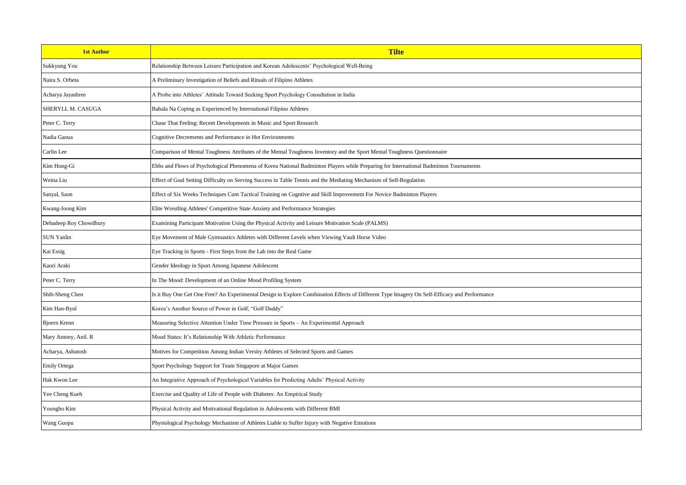| <b>1st Author</b>      | <b>Tilte</b>                                                                                                                                 |
|------------------------|----------------------------------------------------------------------------------------------------------------------------------------------|
| Sukkyung You           | Relationship Between Leisure Participation and Korean Adolescents' Psychological Well-Being                                                  |
| Naira S. Orbeta        | A Preliminary Investigation of Beliefs and Rituals of Filipino Athletes                                                                      |
| Acharya Jayashree      | A Probe into Athletes' Attitude Toward Seeking Sport Psychology Consultation in India                                                        |
| SHERYLL M. CASUGA      | Bahala Na Coping as Experienced by International Filipino Athletes                                                                           |
| Peter C. Terry         | Chase That Feeling: Recent Developments in Music and Sport Research                                                                          |
| Nadia Gaoua            | Cognitive Decrements and Performance in Hot Environments                                                                                     |
| Carlin Lee             | Comparison of Mental Toughness Attributes of the Mental Toughness Inventory and the Sport Mental Toughness Questionnaire                     |
| Kim Hong-Gi            | Ebbs and Flows of Psychological Phenomena of Korea National Badminton Players while Preparing for International Badminton Tournaments        |
| Weina Liu              | Effect of Goal Setting Difficulty on Serving Success in Table Tennis and the Mediating Mechanism of Self-Regulation                          |
| Sanyal, Saon           | Effect of Six Weeks Techniques Cum Tactical Training on Cogntive and Skill Improvement For Novice Badminton Players                          |
| Kwang-Joong Kim        | Elite Wrestling Athletes' Competitive State Anxiety and Performance Strategies                                                               |
| Debadeep Roy Chowdhury | Examining Participant Motivation Using the Physical Activity and Leisure Motivation Scale (PALMS)                                            |
| <b>SUN Yanlin</b>      | Eye Movement of Male Gymnastics Athletes with Different Levels when Viewing Vault Horse Video                                                |
| Kai Essig              | Eye Tracking in Sports - First Steps from the Lab into the Real Game                                                                         |
| Kaori Araki            | Gender Ideology in Sport Among Japanese Adolescent                                                                                           |
| Peter C. Terry         | In The Mood: Development of an Online Mood Profiling System                                                                                  |
| Shih-Sheng Chen        | Is it Buy One Get One Free? An Experimental Design to Explore Combination Effects of Different Type Imagery On Self-Efficacy and Performance |
| Kim Han-Byul           | Korea's Another Source of Power in Golf, "Golf Daddy"                                                                                        |
| Bjoern Krenn           | Measuring Selective Attention Under Time Pressure in Sports - An Experimental Approach                                                       |
| Mary Antony, Anil. R   | Mood States: It's Relationship With Athletic Performance                                                                                     |
| Acharya, Ashutosh      | Motives for Competition Among Indian Versity Athletes of Selected Sports and Games                                                           |
| <b>Emily Ortega</b>    | Sport Psychology Support for Team Singapore at Major Games                                                                                   |
| Hak Kwon Lee           | An Integrative Approach of Psychological Variables for Predicting Adults' Physical Activity                                                  |
| Yee Cheng Kueh         | Exercise and Quality of Life of People with Diabetes: An Empirical Study                                                                     |
| Youngho Kim            | Physical Activity and Motivational Regulation in Adolescents with Different BMI                                                              |
| Wang Guopu             | Physiological Psychology Mechanism of Athletes Liable to Suffer Injury with Negative Emotions                                                |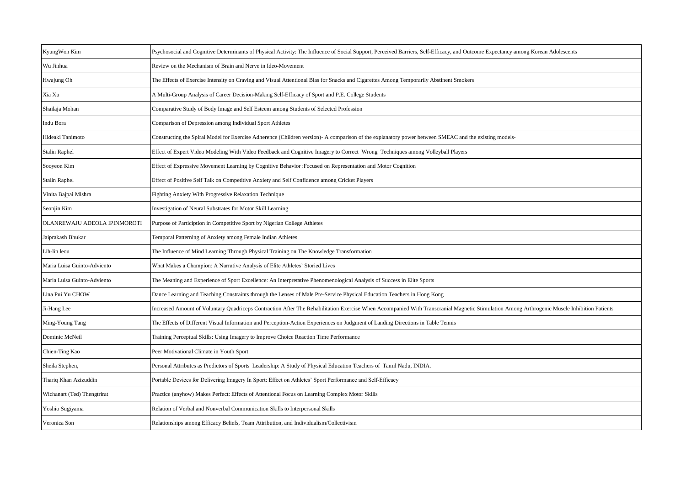| KyungWon Kim                 | Psychosocial and Cognitive Determinants of Physical Activity: The Influence of Social Support, Perceived Barriers, Self-Efficacy, and Outcome Expectancy among Korean Adolescents           |
|------------------------------|---------------------------------------------------------------------------------------------------------------------------------------------------------------------------------------------|
| Wu Jinhua                    | Review on the Mechanism of Brain and Nerve in Ideo-Movement                                                                                                                                 |
| Hwajung Oh                   | The Effects of Exercise Intensity on Craving and Visual Attentional Bias for Snacks and Cigarettes Among Temporarily Abstinent Smokers                                                      |
| Xia Xu                       | A Multi-Group Analysis of Career Decision-Making Self-Efficacy of Sport and P.E. College Students                                                                                           |
| Shailaja Mohan               | Comparative Study of Body Image and Self Esteem among Students of Selected Profession                                                                                                       |
| Indu Bora                    | Comparison of Depression among Individual Sport Athletes                                                                                                                                    |
| Hideaki Tanimoto             | Constructing the Spiral Model for Exercise Adherence (Children version)- A comparison of the explanatory power between SMEAC and the existing models-                                       |
| <b>Stalin Raphel</b>         | Effect of Expert Video Modeling With Video Feedback and Cognitive Imagery to Correct Wrong Techniques among Volleyball Players                                                              |
| Sooyeon Kim                  | Effect of Expressive Movement Learning by Cognitive Behavior : Focused on Representation and Motor Cognition                                                                                |
| Stalin Raphel                | Effect of Positive Self Talk on Competitive Anxiety and Self Confidence among Cricket Players                                                                                               |
| Vinita Bajpai Mishra         | <b>Fighting Anxiety With Progressive Relaxation Technique</b>                                                                                                                               |
| Seonjin Kim                  | Investigation of Neural Substrates for Motor Skill Learning                                                                                                                                 |
| OLANREWAJU ADEOLA IPINMOROTI | Purpose of Particiption in Competitive Sport by Nigerian College Athletes                                                                                                                   |
| Jaiprakash Bhukar            | Temporal Patterning of Anxiety among Female Indian Athletes                                                                                                                                 |
| Lih-lin leou                 | The Influence of Mind Learning Through Physical Training on The Knowledge Transformation                                                                                                    |
| Maria Luisa Guinto-Adviento  | What Makes a Champion: A Narrative Analysis of Elite Athletes' Storied Lives                                                                                                                |
| Maria Luisa Guinto-Adviento  | The Meaning and Experience of Sport Excellence: An Interpretative Phenomenological Analysis of Success in Elite Sports                                                                      |
| Lina Pui Yu CHOW             | Dance Learning and Teaching Constraints through the Lenses of Male Pre-Service Physical Education Teachers in Hong Kong                                                                     |
| Ji-Hang Lee                  | Increased Amount of Voluntary Quadriceps Contraction After The Rehabilitation Exercise When Accompanied With Transcranial Magnetic Stimulation Among Arthrogenic Muscle Inhibition Patients |
| Ming-Young Tang              | The Effects of Different Visual Information and Perception-Action Experiences on Judgment of Landing Directions in Table Tennis                                                             |
| Dominic McNeil               | Training Perceptual Skills: Using Imagery to Improve Choice Reaction Time Performance                                                                                                       |
| Chien-Ting Kao               | Peer Motivational Climate in Youth Sport                                                                                                                                                    |
| Sheila Stephen,              | Personal Attributes as Predictors of Sports Leadership: A Study of Physical Education Teachers of Tamil Nadu, INDIA.                                                                        |
| Thariq Khan Azizuddin        | Portable Devices for Delivering Imagery In Sport: Effect on Athletes' Sport Performance and Self-Efficacy                                                                                   |
| Wichanart (Ted) Thengtrirat  | Practice (anyhow) Makes Perfect: Effects of Attentional Focus on Learning Complex Motor Skills                                                                                              |
| Yoshio Sugiyama              | Relation of Verbal and Nonverbal Communication Skills to Interpersonal Skills                                                                                                               |
| Veronica Son                 | Relationships among Efficacy Beliefs, Team Attribution, and Individualism/Collectivism                                                                                                      |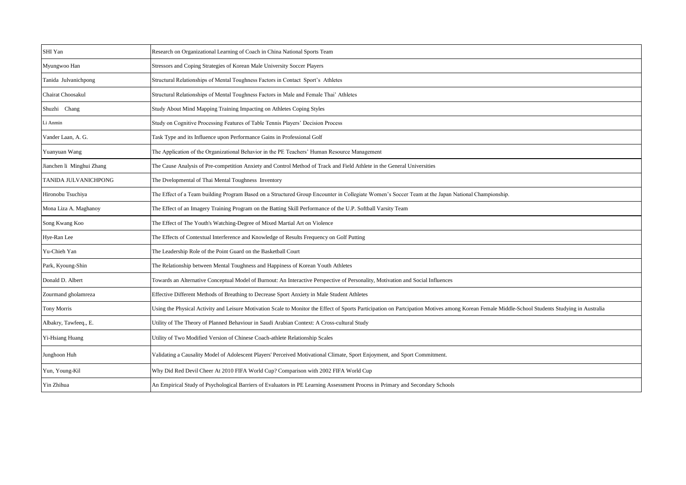| SHI Yan                   | Research on Organizational Learning of Coach in China National Sports Team                                                                                                                      |
|---------------------------|-------------------------------------------------------------------------------------------------------------------------------------------------------------------------------------------------|
| Myungwoo Han              | Stressors and Coping Strategies of Korean Male University Soccer Players                                                                                                                        |
| Tanida Julvanichpong      | Structural Relationships of Mental Toughness Factors in Contact Sport's Athletes                                                                                                                |
| Chairat Choosakul         | Structural Relationships of Mental Toughness Factors in Male and Female Thai' Athletes                                                                                                          |
| Shuzhi Chang              | Study About Mind Mapping Training Impacting on Athletes Coping Styles                                                                                                                           |
| Li Anmin                  | Study on Cognitive Processing Features of Table Tennis Players' Decision Process                                                                                                                |
| Vander Laan, A. G.        | Task Type and its Influence upon Performance Gains in Professional Golf                                                                                                                         |
| Yuanyuan Wang             | The Application of the Organizational Behavior in the PE Teachers' Human Resource Management                                                                                                    |
| Jianchen li Minghui Zhang | The Cause Analysis of Pre-competition Anxiety and Control Method of Track and Field Athlete in the General Universities                                                                         |
| TANIDA JULVANICHPONG      | The Dvelopmental of Thai Mental Toughness Inventory                                                                                                                                             |
| Hironobu Tsuchiya         | The Effect of a Team building Program Based on a Structured Group Encounter in Collegiate Women's Soccer Team at the Japan National Championship.                                               |
| Mona Liza A. Maghanoy     | The Effect of an Imagery Training Program on the Batting Skill Performance of the U.P. Softball Varsity Team                                                                                    |
| Song Kwang Koo            | The Effect of The Youth's Watching-Degree of Mixed Martial Art on Violence                                                                                                                      |
| Hye-Ran Lee               | The Effects of Contextual Interference and Knowledge of Results Frequency on Golf Putting                                                                                                       |
| Yu-Chieh Yan              | The Leadership Role of the Point Guard on the Basketball Court                                                                                                                                  |
| Park, Kyoung-Shin         | The Relationship between Mental Toughness and Happiness of Korean Youth Athletes                                                                                                                |
| Donald D. Albert          | Towards an Alternative Conceptual Model of Burnout: An Interactive Perspective of Personality, Motivation and Social Influences                                                                 |
| Zourmand gholamreza       | Effective Different Methods of Breathing to Decrease Sport Anxiety in Male Student Athletes                                                                                                     |
| <b>Tony Morris</b>        | Using the Physical Activity and Leisure Motivation Scale to Monitor the Effect of Sports Participation on Partcipation Motives among Korean Female Middle-School Students Studying in Australia |
| Albakry, Tawfeeq., E.     | Utility of The Theory of Planned Behaviour in Saudi Arabian Context: A Cross-cultural Study                                                                                                     |
| Yi-Hsiang Huang           | Utility of Two Modified Version of Chinese Coach-athlete Relationship Scales                                                                                                                    |
| Junghoon Huh              | Validating a Causality Model of Adolescent Players' Perceived Motivational Climate, Sport Enjoyment, and Sport Commitment.                                                                      |
| Yun, Young-Kil            | Why Did Red Devil Cheer At 2010 FIFA World Cup? Comparison with 2002 FIFA World Cup                                                                                                             |
| Yin Zhihua                | An Empirical Study of Psychological Barriers of Evaluators in PE Learning Assessment Process in Primary and Secondary Schools                                                                   |
|                           |                                                                                                                                                                                                 |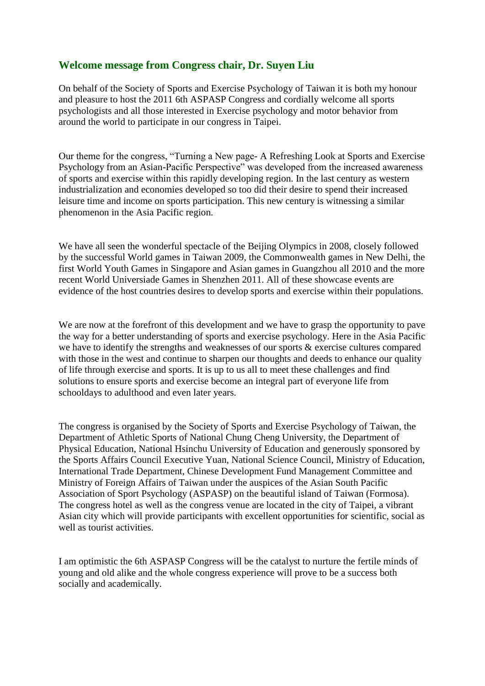#### **Welcome message from Congress chair, Dr. Suyen Liu**

On behalf of the Society of Sports and Exercise Psychology of Taiwan it is both my honour and pleasure to host the 2011 6th ASPASP Congress and cordially welcome all sports psychologists and all those interested in Exercise psychology and motor behavior from around the world to participate in our congress in Taipei.

Our theme for the congress, "Turning a New page- A Refreshing Look at Sports and Exercise Psychology from an Asian-Pacific Perspective" was developed from the increased awareness of sports and exercise within this rapidly developing region. In the last century as western industrialization and economies developed so too did their desire to spend their increased leisure time and income on sports participation. This new century is witnessing a similar phenomenon in the Asia Pacific region.

We have all seen the wonderful spectacle of the Beijing Olympics in 2008, closely followed by the successful World games in Taiwan 2009, the Commonwealth games in New Delhi, the first World Youth Games in Singapore and Asian games in Guangzhou all 2010 and the more recent World Universiade Games in Shenzhen 2011. All of these showcase events are evidence of the host countries desires to develop sports and exercise within their populations.

We are now at the forefront of this development and we have to grasp the opportunity to pave the way for a better understanding of sports and exercise psychology. Here in the Asia Pacific we have to identify the strengths and weaknesses of our sports & exercise cultures compared with those in the west and continue to sharpen our thoughts and deeds to enhance our quality of life through exercise and sports. It is up to us all to meet these challenges and find solutions to ensure sports and exercise become an integral part of everyone life from schooldays to adulthood and even later years.

The congress is organised by the Society of Sports and Exercise Psychology of Taiwan, the Department of Athletic Sports of National Chung Cheng University, the Department of Physical Education, National Hsinchu University of Education and generously sponsored by the Sports Affairs Council Executive Yuan, National Science Council, Ministry of Education, International Trade Department, Chinese Development Fund Management Committee and Ministry of Foreign Affairs of Taiwan under the auspices of the Asian South Pacific Association of Sport Psychology (ASPASP) on the beautiful island of Taiwan (Formosa). The congress hotel as well as the congress venue are located in the city of Taipei, a vibrant Asian city which will provide participants with excellent opportunities for scientific, social as well as tourist activities.

I am optimistic the 6th ASPASP Congress will be the catalyst to nurture the fertile minds of young and old alike and the whole congress experience will prove to be a success both socially and academically.